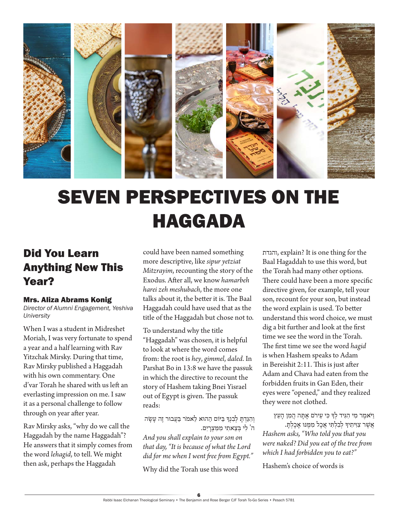

# SEVEN PERSPECTIVES ON THE HAGGADA

### Did You Learn Anything New This Year?

#### Mrs. Aliza Abrams Konig

*Director of Alumni Engagement, Yeshiva University*

When I was a student in Midreshet Moriah, I was very fortunate to spend a year and a half learning with Rav Yitzchak Mirsky. During that time, Rav Mirsky published a Haggadah with his own commentary. One d'var Torah he shared with us left an everlasting impression on me. I saw it as a personal challenge to follow through on year after year.

Rav Mirsky asks, "why do we call the Haggadah by the name Haggadah"? He answers that it simply comes from the word *lehagid*, to tell. We might then ask, perhaps the Haggadah

could have been named something more descriptive, like *sipur yetziat Mitzrayim*, recounting the story of the Exodus. After all, we know *hamarbeh harei zeh meshubach*, the more one talks about it, the better it is. The Baal Haggadah could have used that as the title of the Haggadah but chose not to.

To understand why the title "Haggadah" was chosen, it is helpful to look at where the word comes from: the root is *hey*, *gimmel*, *daled*. In Parshat Bo in 13:8 we have the passuk in which the directive to recount the story of Hashem taking Bnei Yisrael out of Egypt is given. The passuk reads:

וְהִגַּדְתַּ לְבְנִךְ בַּיּוֹם הַהוּא לֵאמֹר בַּעֲבוּר זֶה עַשָׂה ה' לִ י בְ צֵ אתִ י מִ מִ צְ רָ יִם. *And you shall explain to your son on that day, "It is because of what the Lord did for me when I went free from Egypt."*

Why did the Torah use this word

והגדת, explain? It is one thing for the Baal Hagaddah to use this word, but the Torah had many other options. There could have been a more specific directive given, for example, tell your son, recount for your son, but instead the word explain is used. To better understand this word choice, we must dig a bit further and look at the first time we see the word in the Torah. The first time we see the word *hagid* is when Hashem speaks to Adam in Bereishit 2:11. This is just after Adam and Chava had eaten from the forbidden fruits in Gan Eden, their eyes were "opened," and they realized they were not clothed.

וַ ּיֹאמֶ ר מִ י הִ ּגִ יד לְ ָך ּכִ י עֵ ירֹם אָ ּתָ ה הֲ מִ ן הָ עֵ ץ אֲ ׁשֶ ר צִ ּוִ יתִ יָך לְ בִלְ ּת ִ י אֲ כָל מִ ּמֶ ּנּו אָ כָלְ ּתָ . *Hashem asks, "Who told you that you were naked? Did you eat of the tree from which I had forbidden you to eat?"* 

Hashem's choice of words is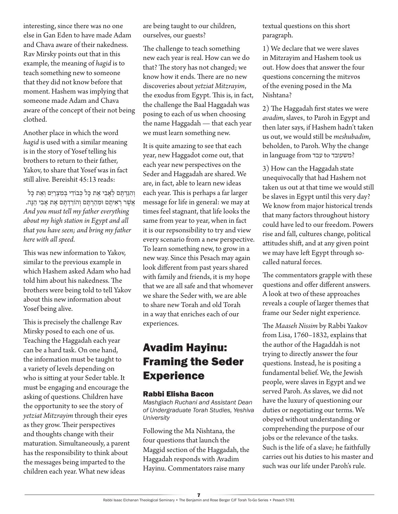interesting, since there was no one else in Gan Eden to have made Adam and Chava aware of their nakedness. Rav Mirsky points out that in this example, the meaning of *hagid* is to teach something new to someone that they did not know before that moment. Hashem was implying that someone made Adam and Chava aware of the concept of their not being clothed.

Another place in which the word *hagid* is used with a similar meaning is in the story of Yosef telling his brothers to return to their father, Yakov, to share that Yosef was in fact still alive. Bereishit 45:13 reads:

וְהִגַּדְתֵּם לְאָבִי אֵת כָּל כְּבוֹדִי בִּמְצְרַיִם וְאֵת כָּל אֲשֶׁר רְאִיתֶם וּמִהַרְתֶּם וְהוֹרַדְתֶם אֶת אָבִי הֵנָּה. *And you must tell my father everything about my high station in Egypt and all that you have seen; and bring my father here with all speed.*

This was new information to Yakov, similar to the previous example in which Hashem asked Adam who had told him about his nakedness. The brothers were being told to tell Yakov about this new information about Yosef being alive.

This is precisely the challenge Rav Mirsky posed to each one of us. Teaching the Haggadah each year can be a hard task. On one hand, the information must be taught to a variety of levels depending on who is sitting at your Seder table. It must be engaging and encourage the asking of questions. Children have the opportunity to see the story of *yetziat Mitzrayim* through their eyes as they grow. Their perspectives and thoughts change with their maturation. Simultaneously, a parent has the responsibility to think about the messages being imparted to the children each year. What new ideas

are being taught to our children, ourselves, our guests?

The challenge to teach something new each year is real. How can we do that? The story has not changed; we know how it ends. There are no new discoveries about *yetziat Mitzrayim*, the exodus from Egypt. This is, in fact, the challenge the Baal Haggadah was posing to each of us when choosing the name Haggadah — that each year we must learn something new.

It is quite amazing to see that each year, new Haggadot come out, that each year new perspectives on the Seder and Haggadah are shared. We are, in fact, able to learn new ideas each year. This is perhaps a far larger message for life in general: we may at times feel stagnant, that life looks the same from year to year, when in fact it is our repsonsibility to try and view every scenario from a new perspective. To learn something new, to grow in a new way. Since this Pesach may again look different from past years shared with family and friends, it is my hope that we are all safe and that whomever we share the Seder with, we are able to share new Torah and old Torah in a way that enriches each of our experiences.

### Avadim Hayinu: Framing the Seder **Experience**

#### Rabbi Elisha Bacon

*Mashgiach Ruchani and Assistant Dean of Undergraduate Torah Studies, Yeshiva University*

Following the Ma Nishtana, the four questions that launch the Maggid section of the Haggadah, the Haggadah responds with Avadim Hayinu. Commentators raise many

textual questions on this short paragraph.

1) We declare that we were slaves in Mitzrayim and Hashem took us out. How does that answer the four questions concerning the mitzvos of the evening posed in the Ma Nishtana?

2) The Haggadah first states we were *avadim*, slaves, to Paroh in Egypt and then later says, if Hashem hadn't taken us out, we would still be *meshubadim*, beholden, to Paroh. Why the change in language from עבד to משעובד

3) How can the Haggadah state unequivocally that had Hashem not taken us out at that time we would still be slaves in Egypt until this very day? We know from major historical trends that many factors throughout history could have led to our freedom. Powers rise and fall, cultures change, political attitudes shift, and at any given point we may have left Egypt through socalled natural forces.

The commentators grapple with these questions and offer different answers. A look at two of these approaches reveals a couple of larger themes that frame our Seder night experience.

The *Maaseh Nissim* by Rabbi Yaakov from Lisa, 1760–1832, explains that the author of the Hagaddah is not trying to directly answer the four questions. Instead, he is positing a fundamental belief. We, the Jewish people, were slaves in Egypt and we served Paroh. As slaves, we did not have the luxury of questioning our duties or negotiating our terms. We obeyed without understanding or comprehending the purpose of our jobs or the relevance of the tasks. Such is the life of a slave; he faithfully carries out his duties to his master and such was our life under Paroh's rule.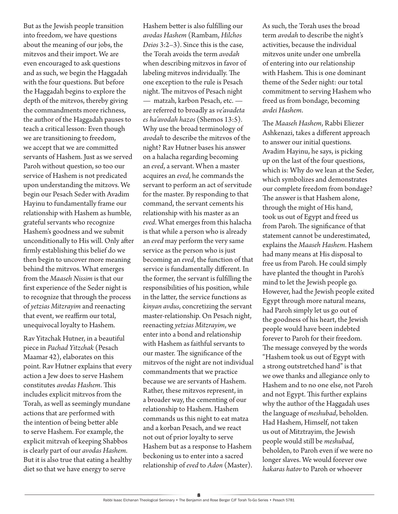But as the Jewish people transition into freedom, we have questions about the meaning of our jobs, the mitzvos and their import. We are even encouraged to ask questions and as such, we begin the Haggadah with the four questions. But before the Haggadah begins to explore the depth of the mitzvos, thereby giving the commandments more richness, the author of the Haggadah pauses to teach a critical lesson: Even though we are transitioning to freedom, we accept that we are committed servants of Hashem. Just as we served Paroh without question, so too our service of Hashem is not predicated upon understanding the mitzovs. We begin our Pesach Seder with Avadim Hayinu to fundamentally frame our relationship with Hashem as humble, grateful servants who recognize Hashem's goodness and we submit unconditionally to His will. Only after firmly establishing this belief do we then begin to uncover more meaning behind the mitzvos. What emerges from the *Maaseh Nissim* is that our first experience of the Seder night is to recognize that through the process of *yetzias Mitzrayim* and reenacting that event, we reaffirm our total, unequivocal loyalty to Hashem.

Rav Yitzchak Hutner, in a beautiful piece in *Pachad Yitzchak* (Pesach Maamar 42), elaborates on this point. Rav Hutner explains that every action a Jew does to serve Hashem constitutes *avodas Hashem*. This includes explicit mitzvos from the Torah, as well as seemingly mundane actions that are performed with the intention of being better able to serve Hashem. For example, the explicit mitzvah of keeping Shabbos is clearly part of our *avodas Hashem*. But it is also true that eating a healthy diet so that we have energy to serve

Hashem better is also fulfilling our *avodas Hashem* (Rambam, *Hilchos Deios* 3:2–3). Since this is the case, the Torah avoids the term *avodah* when describing mitzvos in favor of labeling mitzvos individually. The one exception to the rule is Pesach night. The mitzvos of Pesach night — matzah, karbon Pesach, etc. are referred to broadly as *ve'avadeta es ha'avodah hazos* (Shemos 13:5). Why use the broad terminology of *avodah* to describe the mitzvos of the night? Rav Hutner bases his answer on a halacha regarding becoming an *eved*, a servant. When a master acquires an *eved*, he commands the servant to perform an act of servitude for the master. By responding to that command, the servant cements his relationship with his master as an *eved*. What emerges from this halacha is that while a person who is already an *eved* may perform the very same service as the person who is just becoming an *eved*, the function of that service is fundamentally different. In the former, the servant is fulfilling the responsibilities of his position, while in the latter, the service functions as *kinyan avdus*, concretizing the servant master-relationship. On Pesach night, reenacting *yetzias Mitzrayim*, we enter into a bond and relationship with Hashem as faithful servants to our master. The significance of the mitzvos of the night are not individual commandments that we practice because we are servants of Hashem. Rather, these mitzvos represent, in a broader way, the cementing of our relationship to Hashem. Hashem commands us this night to eat matza and a korban Pesach, and we react not out of prior loyalty to serve Hashem but as a response to Hashem beckoning us to enter into a sacred relationship of *eved* to *Adon* (Master).

As such, the Torah uses the broad term *avodah* to describe the night's activities, because the individual mitzvos unite under one umbrella of entering into our relationship with Hashem. This is one dominant theme of the Seder night: our total commitment to serving Hashem who freed us from bondage, becoming *avdei Hashem*.

The *Maaseh Hashem*, Rabbi Eliezer Ashkenazi, takes a different approach to answer our initial questions. Avadim Hayinu, he says, is picking up on the last of the four questions, which is: Why do we lean at the Seder, which symbolizes and demonstrates our complete freedom from bondage? The answer is that Hashem alone, through the might of His hand, took us out of Egypt and freed us from Paroh. The significance of that statement cannot be underestimated, explains the *Maaseh Hashem*. Hashem had many means at His disposal to free us from Paroh. He could simply have planted the thought in Paroh's mind to let the Jewish people go. However, had the Jewish people exited Egypt through more natural means, had Paroh simply let us go out of the goodness of his heart, the Jewish people would have been indebted forever to Paroh for their freedom. The message conveyed by the words "Hashem took us out of Egypt with a strong outstretched hand" is that we owe thanks and allegiance only to Hashem and to no one else, not Paroh and not Egypt. This further explains why the author of the Haggadah uses the language of *meshubad*, beholden. Had Hashem, Himself, not taken us out of Mitztrayim, the Jewish people would still be *meshubad*, beholden, to Paroh even if we were no longer slaves. We would forever owe *hakaras hatov* to Paroh or whoever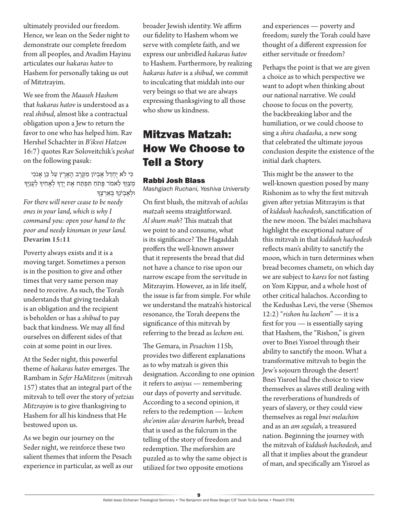ultimately provided our freedom. Hence, we lean on the Seder night to demonstrate our complete freedom from all peoples, and Avadim Hayinu articulates our *hakaras hatov* to Hashem for personally taking us out of Mitztrayim.

We see from the *Maaseh Hashem* that *hakaras hatov* is understood as a real *shibud*, almost like a contractual obligation upon a Jew to return the favor to one who has helped him. Rav Hershel Schachter in *B'ikvei Hatzon* 16:7) quotes Rav Soloveitchik's *peshat* on the following pasuk:

 ּכִ י לֹא יֶחְ ּדַ ל אֶ בְ יֹון מִ ּקֶ רֶ ב הָ אָ רֶ ץ עַ ל ּכֵ ן אָ נֹכִ י מִצַוְרְּ לֵאמֹר פֵתֹחַ תִּפְתַּח אֶת יַדְךָ לְאֲחִיךָ לַעֲנֵיֶךָ וּלְאֱבִיֹנְךָּ בְּאַרְצֵךְ

*For there will never cease to be needy ones in your land, which is why I command you: open your hand to the poor and needy kinsman in your land.* **Devarim 15:11**

Poverty always exists and it is a moving target. Sometimes a person is in the position to give and other times that very same person may need to receive. As such, the Torah understands that giving tzedakah is an obligation and the recipient is beholden or has a *shibud* to pay back that kindness. We may all find ourselves on different sides of that coin at some point in our lives.

At the Seder night, this powerful theme of *hakaras hatov* emerges. The Rambam in *Sefer HaMitzvos* (mitzvah 157) states that an integral part of the mitzvah to tell over the story of *yetzias Mitzrayim* is to give thanksgiving to Hashem for all his kindness that He bestowed upon us.

As we begin our journey on the Seder night, we reinforce these two salient themes that inform the Pesach experience in particular, as well as our broader Jewish identity. We affirm our fidelity to Hashem whom we serve with complete faith, and we express our unbridled *hakaras hatov* to Hashem. Furthermore, by realizing *hakaras hatov* is a *shibud*, we commit to inculcating that middah into our very beings so that we are always expressing thanksgiving to all those who show us kindness.

### Mitzvas Matzah: How We Choose to Tell a Story

#### Rabbi Josh Blass

*Mashgiach Ruchani, Yeshiva University*

On first blush, the mitzvah of *achilas matzah* seems straightforward. *Al shum mah*? This matzah that we point to and consume, what is its significance? The Hagaddah proffers the well-known answer that it represents the bread that did not have a chance to rise upon our narrow escape from the servitude in Mitzrayim. However, as in life itself, the issue is far from simple. For while we understand the matzah's historical resonance, the Torah deepens the significance of this mitzvah by referring to the bread as *lechem oni.* 

The Gemara, in *Pesachim* 115b, provides two different explanations as to why matzah is given this designation. According to one opinion it refers to *aniyus* — remembering our days of poverty and servitude. According to a second opinion, it refers to the redemption — l*echem she'onim alav devarim harbeh*, bread that is used as the fulcrum in the telling of the story of freedom and redemption. The meforshim are puzzled as to why the same object is utilized for two opposite emotions

and experiences — poverty and freedom; surely the Torah could have thought of a different expression for either servitude or freedom?

Perhaps the point is that we are given a choice as to which perspective we want to adopt when thinking about our national narrative. We could choose to focus on the poverty, the backbreaking labor and the humiliation, or we could choose to sing a *shira chadasha*, a new song that celebrated the ultimate joyous conclusion despite the existence of the initial dark chapters.

This might be the answer to the well-known question posed by many Rishonim as to why the first mitzvah given after yetzias Mitzrayim is that of *kiddush hachodesh*, sanctification of the new moon. The ba'alei machshava highlight the exceptional nature of this mitzvah in that *kiddush hachodesh*  reflects man's ability to sanctify the moon, which in turn determines when bread becomes chametz, on which day we are subject to *kares* for not fasting on Yom Kippur, and a whole host of other critical halachos. According to the Kedushas Levi, the verse (Shemos 12:2) "*rishon hu lachem*" — it is a first for you — is essentially saying that Hashem, the "Rishon," is given over to Bnei Yisroel through their ability to sanctify the moon. What a transformative mitzvah to begin the Jew's sojourn through the desert! Bnei Yisroel had the choice to view themselves as slaves still dealing with the reverberations of hundreds of years of slavery, or they could view themselves as regal *bnei melachim*  and as an *am segulah*, a treasured nation. Beginning the journey with the mitzvah of *kiddush hachodesh*, and all that it implies about the grandeur of man, and specifically am Yisroel as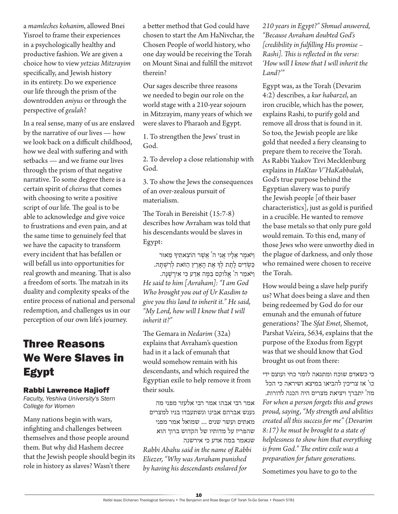a *mamleches kohanim*, allowed Bnei Yisroel to frame their experiences in a psychologically healthy and productive fashion. We are given a choice how to view *yetzias Mitzrayim* specifically, and Jewish history in its entirety. Do we experience our life through the prism of the downtrodden *aniyus* or through the perspective of *geulah*?

In a real sense, many of us are enslaved by the narrative of our lives — how we look back on a difficult childhood, how we deal with suffering and with setbacks — and we frame our lives through the prism of that negative narrative. To some degree there is a certain spirit of *cheirus* that comes with choosing to write a positive script of our life. The goal is to be able to acknowledge and give voice to frustrations and even pain, and at the same time to genuinely feel that we have the capacity to transform every incident that has befallen or will befall us into opportunities for real growth and meaning. That is also a freedom of sorts. The matzah in its duality and complexity speaks of the entire process of national and personal redemption, and challenges us in our perception of our own life's journey.

### Three Reasons We Were Slaves in Egypt

#### Rabbi Lawrence Hajioff

*Faculty, Yeshiva University's Stern College for Women*

Many nations begin with wars, infighting and challenges between themselves and those people around them. But why did Hashem decree that the Jewish people should begin its role in history as slaves? Wasn't there

a better method that God could have chosen to start the Am HaNivchar, the Chosen People of world history, who one day would be receiving the Torah on Mount Sinai and fulfill the mitzvot therein?

Our sages describe three reasons we needed to begin our role on the world stage with a 210-year sojourn in Mitzrayim, many years of which we were slaves to Pharaoh and Egypt.

1. To strengthen the Jews' trust in God.

2. To develop a close relationship with God.

3. To show the Jews the consequences of an over-zealous pursuit of materialism.

The Torah in Bereishit (15:7-8) describes how Avraham was told that his descendants would be slaves in Egypt:

וַ יֹאמֶ ר אֵ לָ יו אֲ נִ י ה' אֲ שֶ ר הֹוצֵ אתִ יָך מֵ אּור ַכְּשְׂדִּים לָתֶת לְךָ אֶת הַאַרֶץ הַזֹּאת לְרִשְׁתַּהּ.

וַ יֹאמַ ר ה' אֱ לוקִ ם בַ מָ ה אֵ דַ ע כ ִ י אִ ירָ ֶשָנה. *He said to him [Avraham]: "I am God Who brought you out of Ur Kasdim to give you this land to inherit it." He said, "My Lord, how will I know that I will inherit it?"* 

The Gemara in *Nedarim* (32a) explains that Avraham's question had in it a lack of emunah that would somehow remain with his descendants, and which required the Egyptian exile to help remove it from their souls.

אמר רבי אבהו אמר רבי אלעזר מפני מה נענש אברהם אבינו ונשתעבדו בניו למצרים מאתים ועשר שנים ... שמואל אמר מפני שהפריז על מדותיו של הקדוש ברוך הוא שנאמר במה אדע כי אירשנה *Rabbi Abahu said in the name of Rabbi Eliezer, "Why was Avraham punished by having his descendants enslaved for* 

*210 years in Egypt?" Shmuel answered, "Because Avraham doubted God's [credibility in fulfilling His promise – Rashi]. This is reflected in the verse: 'How will I know that I will inherit the Land?'"* 

Egypt was, as the Torah (Devarim 4:2) describes, a *kur habarzel*, an iron crucible, which has the power, explains Rashi, to purify gold and remove all dross that is found in it. So too, the Jewish people are like gold that needed a fiery cleansing to prepare them to receive the Torah. As Rabbi Yaakov Tzvi Mecklenburg explains in *HaKtav V'HaKabbalah*, God's true purpose behind the Egyptian slavery was to purify the Jewish people [of their baser characteristics], just as gold is purified in a crucible. He wanted to remove the base metals so that only pure gold would remain. To this end, many of those Jews who were unworthy died in the plague of darkness, and only those who remained were chosen to receive the Torah.

How would being a slave help purify us? What does being a slave and then being redeemed by God do for our emunah and the emunah of future generations? The *Sfat Emet*, Shemot, Parshat Va'eira, 5634, explains that the purpose of the Exodus from Egypt was that we should know that God brought us out from there:

כי כשאדם שוכח ומתגאה לומר כחי ועוצם ידי כו' אז צריכין להביאו במיצא ושיראה כי הכל מה' יתברך ויציאת מצרים היה הכנה לדורות. *For when a person forgets this and grows proud, saying, "My strength and abilities created all this success for me" (Devarim 8:17) he must be brought to a state of helplessness to show him that everything is from God." The entire exile was a preparation for future generations.*

Sometimes you have to go to the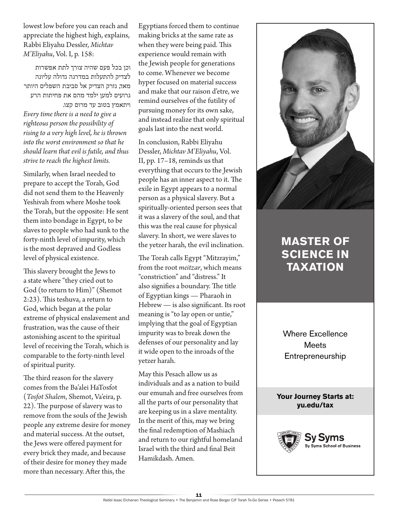lowest low before you can reach and appreciate the highest high, explains, Rabbi Eliyahu Dessler, *Michtav M'Eliyahu*, Vol. I, p. 158:

וכן בכל פעם שהיה צורך לתת אפשרות לצדיק להתעלות במדרגה גדולה עליונה מאד, נזרק הצדיק אל סביבת השפלים היותר גרועים למען ילמד מהם את פחיתות הרע ויתאמץ בטוב עד מרום קצו. *Every time there is a need to give a righteous person the possibility of rising to a very high level, he is thrown into the worst environment so that he should learn that evil is futile, and thus strive to reach the highest limits.*

Similarly, when Israel needed to prepare to accept the Torah, God did not send them to the Heavenly Yeshivah from where Moshe took the Torah, but the opposite: He sent them into bondage in Egypt, to be slaves to people who had sunk to the forty-ninth level of impurity, which is the most depraved and Godless level of physical existence.

This slavery brought the Jews to a state where "they cried out to God (to return to Him)" (Shemot 2:23). This teshuva, a return to God, which began at the polar extreme of physical enslavement and frustration, was the cause of their astonishing ascent to the spiritual level of receiving the Torah, which is comparable to the forty-ninth level of spiritual purity.

The third reason for the slavery comes from the Ba'alei HaTosfot (*Tosfot Shalem*, Shemot, Va'eira, p. 22). The purpose of slavery was to remove from the souls of the Jewish people any extreme desire for money and material success. At the outset, the Jews were offered payment for every brick they made, and because of their desire for money they made more than necessary. After this, the

Egyptians forced them to continue making bricks at the same rate as when they were being paid. This experience would remain with the Jewish people for generations to come. Whenever we become hyper focused on material success and make that our raison d'etre, we remind ourselves of the futility of pursuing money for its own sake, and instead realize that only spiritual goals last into the next world.

In conclusion, Rabbi Eliyahu Dessler, *Michtav M'Eliyahu*, Vol. II, pp. 17–18, reminds us that everything that occurs to the Jewish people has an inner aspect to it. The exile in Egypt appears to a normal person as a physical slavery. But a spiritually-oriented person sees that it was a slavery of the soul, and that this was the real cause for physical slavery. In short, we were slaves to the yetzer harah, the evil inclination.

The Torah calls Egypt "Mitzrayim," from the root *meitzar*, which means "constriction" and "distress." It also signifies a boundary. The title of Egyptian kings — Pharaoh in Hebrew — is also significant. Its root meaning is "to lay open or untie," implying that the goal of Egyptian impurity was to break down the defenses of our personality and lay it wide open to the inroads of the yetzer harah.

May this Pesach allow us as individuals and as a nation to build our emunah and free ourselves from all the parts of our personality that are keeping us in a slave mentality. In the merit of this, may we bring the final redemption of Mashiach and return to our rightful homeland Israel with the third and final Beit Hamikdash. Amen.



### **MASTER OF SCIENCE IN TAXATION**

Where Excellence **Meets** Entrepreneurship

**Your Journey Starts at: yu.edu/tax** 

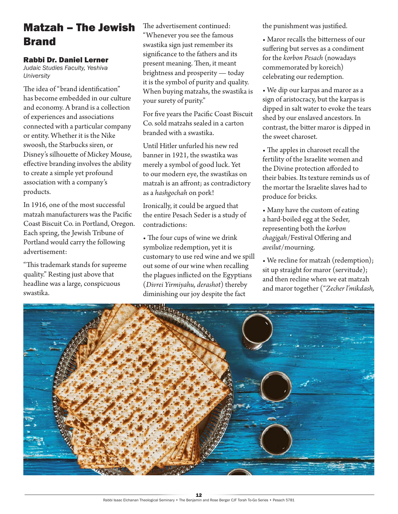### Matzah – The Jewish Brand

#### Rabbi Dr. Daniel Lerner

*Judaic Studies Faculty, Yeshiva University*

The idea of "brand identification" has become embedded in our culture and economy. A brand is a collection of experiences and associations connected with a particular company or entity. Whether it is the Nike swoosh, the Starbucks siren, or Disney's silhouette of Mickey Mouse, effective branding involves the ability to create a simple yet profound association with a company's products.

In 1916, one of the most successful matzah manufacturers was the Pacific Coast Biscuit Co. in Portland, Oregon. Each spring, the Jewish Tribune of Portland would carry the following advertisement:

"This trademark stands for supreme quality." Resting just above that headline was a large, conspicuous swastika.

The advertisement continued: "Whenever you see the famous swastika sign just remember its significance to the fathers and its present meaning. Then, it meant brightness and prosperity — today it is the symbol of purity and quality. When buying matzahs, the swastika is your surety of purity."

For five years the Pacific Coast Biscuit Co. sold matzahs sealed in a carton branded with a swastika.

Until Hitler unfurled his new red banner in 1921, the swastika was merely a symbol of good luck. Yet to our modern eye, the swastikas on matzah is an affront; as contradictory as a *hashgochah* on pork!

Ironically, it could be argued that the entire Pesach Seder is a study of contradictions:

• The four cups of wine we drink symbolize redemption, yet it is customary to use red wine and we spill out some of our wine when recalling the plagues inflicted on the Egyptians (*Divrei Yirmiyahu, derashot*) thereby diminishing our joy despite the fact

the punishment was justified.

• Maror recalls the bitterness of our suffering but serves as a condiment for the *korbon Pesach* (nowadays commemorated by koreich) celebrating our redemption.

• We dip our karpas and maror as a sign of aristocracy, but the karpas is dipped in salt water to evoke the tears shed by our enslaved ancestors. In contrast, the bitter maror is dipped in the sweet charoset.

• The apples in charoset recall the fertility of the Israelite women and the Divine protection afforded to their babies. Its texture reminds us of the mortar the Israelite slaves had to produce for bricks.

• Many have the custom of eating a hard-boiled egg at the Seder, representing both the *korbon chagigah*/Festival Offering and *aveilut*/mourning.

• We recline for matzah (redemption); sit up straight for maror (servitude); and then recline when we eat matzah and maror together ("*Zecher l'mikdash,* 

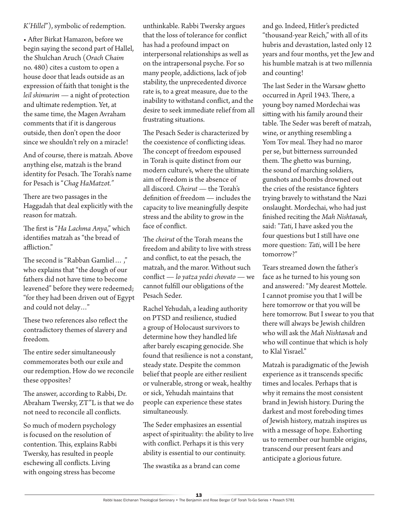*K'Hillel*"), symbolic of redemption.

• After Birkat Hamazon, before we begin saying the second part of Hallel, the Shulchan Aruch (*Orach Chaim*  no. 480) cites a custom to open a house door that leads outside as an expression of faith that tonight is the *leil shimurim* — a night of protection and ultimate redemption. Yet, at the same time, the Magen Avraham comments that if it is dangerous outside, then don't open the door since we shouldn't rely on a miracle!

And of course, there is matzah. Above anything else, matzah is the brand identity for Pesach. The Torah's name for Pesach is "*Chag HaMatzot."*

There are two passages in the Haggadah that deal explicitly with the reason for matzah.

The first is "*Ha Lachma Anya*," which identifies matzah as "the bread of affliction."

The second is "Rabban Gamliel… ," who explains that "the dough of our fathers did not have time to become leavened" before they were redeemed; "for they had been driven out of Egypt and could not delay…"

These two references also reflect the contradictory themes of slavery and freedom.

The entire seder simultaneously commemorates both our exile and our redemption. How do we reconcile these opposites?

The answer, according to Rabbi, Dr. Abraham Twersky, ZT"L is that we do not need to reconcile all conflicts.

So much of modern psychology is focused on the resolution of contention. This, explains Rabbi Twersky, has resulted in people eschewing all conflicts. Living with ongoing stress has become

unthinkable. Rabbi Twersky argues that the loss of tolerance for conflict has had a profound impact on interpersonal relationships as well as on the intrapersonal psyche. For so many people, addictions, lack of job stability, the unprecedented divorce rate is, to a great measure, due to the inability to withstand conflict, and the desire to seek immediate relief from all frustrating situations.

The Pesach Seder is characterized by the coexistence of conflicting ideas. The concept of freedom espoused in Torah is quite distinct from our modern culture's, where the ultimate aim of freedom is the absence of all discord. *Cheirut* — the Torah's definition of freedom — includes the capacity to live meaningfully despite stress and the ability to grow in the face of conflict.

The *cheirut* of the Torah means the freedom and ability to live with stress and conflict, to eat the pesach, the matzah, and the maror. Without such conflict — *lo yatza yedei chovato* — we cannot fulfill our obligations of the Pesach Seder.

Rachel Yehudah, a leading authority on PTSD and resilience, studied a group of Holocaust survivors to determine how they handled life after barely escaping genocide. She found that resilience is not a constant, steady state. Despite the common belief that people are either resilient or vulnerable, strong or weak, healthy or sick, Yehudah maintains that people can experience these states simultaneously.

The Seder emphasizes an essential aspect of spirituality: the ability to live with conflict. Perhaps it is this very ability is essential to our continuity.

The swastika as a brand can come

and go. Indeed, Hitler's predicted "thousand-year Reich," with all of its hubris and devastation, lasted only 12 years and four months, yet the Jew and his humble matzah is at two millennia and counting!

The last Seder in the Warsaw ghetto occurred in April 1943. There, a young boy named Mordechai was sitting with his family around their table. The Seder was bereft of matzah, wine, or anything resembling a Yom Tov meal. They had no maror per se, but bitterness surrounded them. The ghetto was burning, the sound of marching soldiers, gunshots and bombs drowned out the cries of the resistance fighters trying bravely to withstand the Nazi onslaught. Mordechai, who had just finished reciting the *Mah Nishtanah,*  said: "*Tati*, I have asked you the four questions but I still have one more question: *Tati*, will I be here tomorrow?"

Tears streamed down the father's face as he turned to his young son and answered: "My dearest Mottele. I cannot promise you that I will be here tomorrow or that you will be here tomorrow. But I swear to you that there will always be Jewish children who will ask the *Mah Nishtanah* and who will continue that which is holy to Klal Yisrael."

Matzah is paradigmatic of the Jewish experience as it transcends specific times and locales. Perhaps that is why it remains the most consistent brand in Jewish history. During the darkest and most foreboding times of Jewish history, matzah inspires us with a message of hope. Exhorting us to remember our humble origins, transcend our present fears and anticipate a glorious future.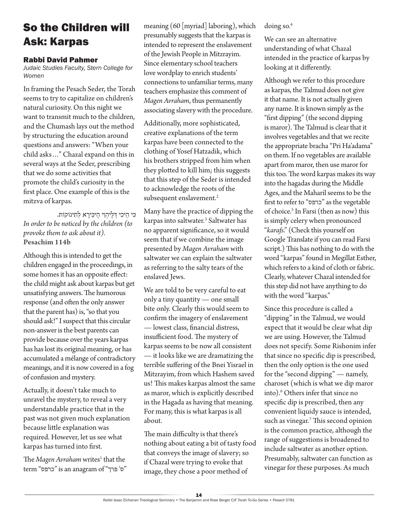### So the Children will Ask: Karpas

### Rabbi David Pahmer

*Judaic Studies Faculty, Stern College for Women*

In framing the Pesach Seder, the Torah seems to try to capitalize on children's natural curiosity. On this night we want to transmit much to the children, and the Chumash lays out the method by structuring the education around questions and answers: "When your child asks…" Chazal expand on this in several ways at the Seder, prescribing that we do some activities that promote the child's curiosity in the first place. One example of this is the mitzva of karpas.

ּכִ י הֵ יכִ י ּדְ לֶ יהְ וֵ י הֶ יּכֵ ירָ א לְ תִ ינֹוקֹות. *In order to be noticed by the children (to provoke them to ask about it).* **Pesachim 114b**

Although this is intended to get the children engaged in the proceedings, in some homes it has an opposite effect: the child might ask about karpas but get unsatisfying answers. The humorous response (and often the only answer that the parent has) is, "so that you should ask!" I suspect that this circular non-answer is the best parents can provide because over the years karpas has has lost its original meaning, or has accumulated a mélange of contradictory meanings, and it is now covered in a fog of confusion and mystery.

Actually, it doesn't take much to unravel the mystery, to reveal a very understandable practice that in the past was not given much explanation because little explanation was required. However, let us see what karpas has turned into first.

The *Magen Avraham* writes<sup>1</sup> that the term "כרפס" is an anagram of "כרפס" meaning (60 [myriad] laboring), which presumably suggests that the karpas is intended to represent the enslavement of the Jewish People in Mitzrayim. Since elementary school teachers love wordplay to enrich students' connections to unfamiliar terms, many teachers emphasize this comment of *Magen Avraham*, thus permanently associating slavery with the procedure.

Additionally, more sophisticated, creative explanations of the term karpas have been connected to the clothing of Yosef Hatzadik, which his brothers stripped from him when they plotted to kill him; this suggests that this step of the Seder is intended to acknowledge the roots of the subsequent enslavement.<sup>2</sup>

Many have the practice of dipping the karpas into saltwater.3 Saltwater has no apparent significance, so it would seem that if we combine the image presented by *Magen Avraham* with saltwater we can explain the saltwater as referring to the salty tears of the enslaved Jews.

We are told to be very careful to eat only a tiny quantity — one small bite only. Clearly this would seem to confirm the imagery of enslavement — lowest class, financial distress, insufficient food. The mystery of karpas seems to be now all consistent — it looks like we are dramatizing the terrible suffering of the Bnei Yisrael in Mitzrayim, from which Hashem saved us! This makes karpas almost the same as maror, which is explicitly described in the Hagada as having that meaning. For many, this is what karpas is all about.

The main difficulty is that there's nothing about eating a bit of tasty food that conveys the image of slavery; so if Chazal were trying to evoke that image, they chose a poor method of

doing so.4

We can see an alternative understanding of what Chazal intended in the practice of karpas by looking at it differently.

Although we refer to this procedure as karpas, the Talmud does not give it that name. It is not actually given any name. It is known simply as the "first dipping" (the second dipping is maror). The Talmud is clear that it involves vegetables and that we recite the appropriate bracha "Pri Ha'adama" on them. If no vegetables are available apart from maror, then use maror for this too. The word karpas makes its way into the hagadas during the Middle Ages, and the Maharil seems to be the first to refer to "כרפס "as the vegetable of choice.<sup>5</sup> In Farsi (then as now) this is simply celery when pronounced "*karafs*." (Check this yourself on Google Translate if you can read Farsi script.) This has nothing to do with the word "karpas" found in Megillat Esther, which refers to a kind of cloth or fabric. Clearly, whatever Chazal intended for this step did not have anything to do with the word "karpas."

Since this procedure is called a "dipping" in the Talmud, we would expect that it would be clear what dip we are using. However, the Talmud does not specify. Some Rishonim infer that since no specific dip is prescribed, then the only option is the one used for the "second dipping" — namely, charoset (which is what we dip maror into).6 Others infer that since no specific dip is prescribed, then any convenient liquidy sauce is intended, such as vinegar.7 This second opinion is the common practice, although the range of suggestions is broadened to include saltwater as another option. Presumably, saltwater can function as vinegar for these purposes. As much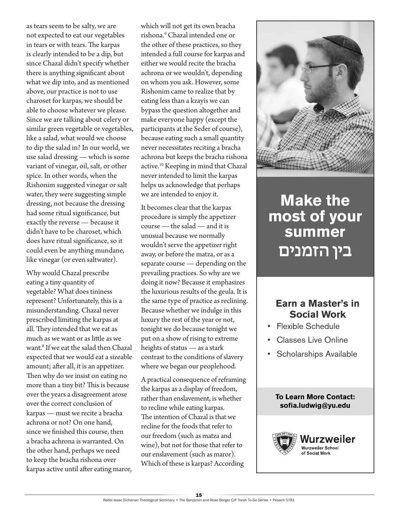as tears seem to be salty, we are not expected to eat our vegetables in tears or with tears. The karpas is clearly intended to be a dip, but since Chazal didn't specify whether there is anything significant about what we dip into, and as mentioned above, our practice is not to use charoset for karpas, we should be able to choose whatever we please. Since we are talking about celery or similar green vegetable or vegetables, like a salad, what would we choose to dip the salad in? In our world, we use salad dressing — which is some variant of vinegar, oil, salt, or other spice. In other words, when the Rishonim suggested vinegar or salt water, they were suggesting simple dressing, not because the dressing had some ritual significance, but exactly the reverse — because it didn't have to be charoset, which does have ritual significance, so it could even be anything mundane, like vinegar (or even saltwater).

Why would Chazal prescribe eating a tiny quantity of vegetable? What does tininess represent? Unfortunately, this is a misunderstanding. Chazal never prescribed limiting the karpas at all. They intended that we eat as much as we want or as little as we want.8 If we eat the salad then Chazal expected that we would eat a sizeable amount; after all, it is an appetizer. Then why do we insist on eating no more than a tiny bit? This is because over the years a disagreement arose over the correct conclusion of karpas — must we recite a bracha achrona or not? On one hand, since we finished this course, then a bracha achrona is warranted. On the other hand, perhaps we need to keep the bracha rishona over karpas active until after eating maror,

which will not get its own bracha rishona.9 Chazal intended one or the other of these practices, so they intended a full course for karpas and either we would recite the bracha achrona or we wouldn't, depending on whom you ask. However, some Rishonim came to realize that by eating less than a kzayis we can bypass the question altogether and make everyone happy (except the participants at the Seder of course), because eating such a small quantity never necessitates reciting a bracha achrona but keeps the bracha rishona active.10 Keeping in mind that Chazal never intended to limit the karpas helps us acknowledge that perhaps we are intended to enjoy it.

It becomes clear that the karpas procedure is simply the appetizer course — the salad — and it is unusual because we normally wouldn't serve the appetizer right away, or before the matza, or as a separate course — depending on the prevailing practices. So why are we doing it now? Because it emphasizes the luxurious results of the geula. It is the same type of practice as reclining. Because whether we indulge in this luxury the rest of the year or not, tonight we do because tonight we put on a show of rising to extreme heights of status — as a stark contrast to the conditions of slavery where we began our peoplehood.

A practical consequence of reframing the karpas as a display of freedom, rather than enslavement, is whether to recline while eating karpas. The intention of Chazal is that we recline for the foods that refer to our freedom (such as matza and wine), but not for those that refer to our enslavement (such as maror). Which of these is karpas? According



## **Make the most of your summer** בין הזמנים

### **Earn a Master's in Social Work**

- Flexible Schedule
- Classes Live Online
- Scholarships Available

### **To Learn More Contact: sofia.ludwig@yu.edu**

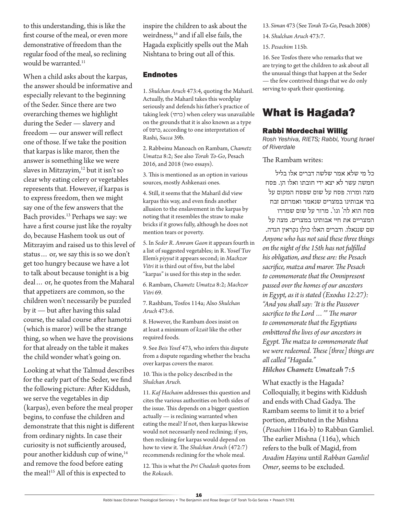to this understanding, this is like the first course of the meal, or even more demonstrative of freedom than the regular food of the meal, so reclining would be warranted.<sup>11</sup>

When a child asks about the karpas, the answer should be informative and especially relevant to the beginning of the Seder. Since there are two overarching themes we highlight during the Seder — slavery and freedom — our answer will reflect one of those. If we take the position that karpas is like maror, then the answer is something like we were slaves in Mitzrayim,<sup>12</sup> but it isn't so clear why eating celery or vegetables represents that. However, if karpas is to express freedom, then we might say one of the few answers that the Bach provides.13 Perhaps we say: we have a first course just like the royalty do, because Hashem took us out of Mitzrayim and raised us to this level of status… or, we say this is so we don't get too hungry because we have a lot to talk about because tonight is a big deal… or, he quotes from the Maharal that appetizers are common, so the children won't necessarily be puzzled by it — but after having this salad course, the salad course after hamotzi (which is maror) will be the strange thing, so when we have the provisions for that already on the table it makes the child wonder what's going on.

Looking at what the Talmud describes for the early part of the Seder, we find the following picture: After Kiddush, we serve the vegetables in dip (karpas), even before the meal proper begins, to confuse the children and demonstrate that this night is different from ordinary nights. In case their curiosity is not sufficiently aroused, pour another kiddush cup of wine,<sup>14</sup> and remove the food before eating the meal!<sup>15</sup> All of this is expected to

inspire the children to ask about the weirdness,<sup>16</sup> and if all else fails, the Hagada explicitly spells out the Mah Nishtana to bring out all of this.

### Endnotes

1. *Shulchan Aruch* 473:4, quoting the Maharil. Actually, the Maharil takes this wordplay seriously and defends his father's practice of taking leek (כרתי (when celery was unavailable on the grounds that it is also known as a type of כרפס, according to one interpretation of Rashi, *Succa* 39b.

2. Rabbeinu Manoach on Rambam, *Chametz Umatza* 8:2; See also *Torah To-Go*, Pesach 2016, and 2018 (two essays).

3. This is mentioned as an option in various sources, mostly Ashkenazi ones.

4. Still, it seems that the Maharil did view karpas this way, and even finds another allusion to the enslavement in the karpas by noting that it resembles the straw to make bricks if it grows fully, although he does not mention tears or poverty.

5. In *Seder R. Amram Gaon* it appears fourth in a list of suggested vegetables; in R. Yosef Tuv Elem's *piyyut* it appears second; in *Machzor Vitri* it is third out of five, but the label "karpas" is used for this step in the seder.

6. Rambam, *Chametz Umatza* 8:2; *Machzor Vitri* 69.

7. Rashbam, Tosfos 114a; Also *Shulchan Aruch* 473:6.

8. However, the Rambam does insist on at least a minimum of *kzait* like the other required foods.

9. See *Beis Yose*f 473, who infers this dispute from a dispute regarding whether the bracha over karpas covers the maror.

10. This is the policy described in the *Shulchan Aruch.*

11. *Kaf Hachaim* addresses this question and cites the various authorities on both sides of the issue. This depends on a bigger question actually — is reclining warranted when eating the meal? If not, then karpas likewise would not necessarily need reclining; if yes, then reclining for karpas would depend on how to view it. The *Shulchan Aruch* (472:7) recommends reclining for the whole meal.

12. This is what the *Pri Chadash* quotes from the *Rokeach*.

13. *Siman* 473 (See *Torah To-Go*, Pesach 2008)

14. *Shulchan Aruch* 473:7.

15. *Pesachim* 115b.

16. See Tosfos there who remarks that we are trying to get the children to ask about all the unusual things that happen at the Seder — the few contrived things that we do only serving to spark their questioning.

### What is Hagada?

### Rabbi Mordechai Willig

*Rosh Yeshiva, RIETS; Rabbi, Young Israel of Riverdale*

#### The Rambam writes:

כל מי שלא אמר שלשה דברים אלו בליל חמשה עשר לא יצא ידי חובתו ואלו הן. פסח מצה ומרור. פסח על שום שפסח המקום על בתי אבותינו במצרים שנאמר ואמרתם זבח

פסח הוא לה' וגו'. מרור על שום שמררו המצריים את חיי אבותינו במצרים. מצה על שם שנגאלו. ודברים האלו כולן נקראין הגדה. *Anyone who has not said these three things on the night of the 15th has not fulfilled his obligation, and these are: the Pesach sacrifice, matza and maror. The Pesach to commemorate that the Omnipresent passed over the homes of our ancestors in Egypt, as it is stated (Exodus 12:27): "And you shall say: 'It is the Passover sacrifice to the Lord …'" The maror to commemorate that the Egyptians embittered the lives of our ancestors in Egypt. The matza to commemorate that we were redeemed. These [three] things are all called "Hagada." Hilchos Chametz Umatzah* **7:5**

What exactly is the Hagada? Colloquially, it begins with Kiddush and ends with Chad Gadya. The Rambam seems to limit it to a brief portion, attributed in the Mishna (*Pesachim* 116a-b) to Rabban Gamliel. The earlier Mishna (116a), which refers to the bulk of Magid, from *Avadim Hayinu* until *Rabban Gamliel Omer*, seems to be excluded.